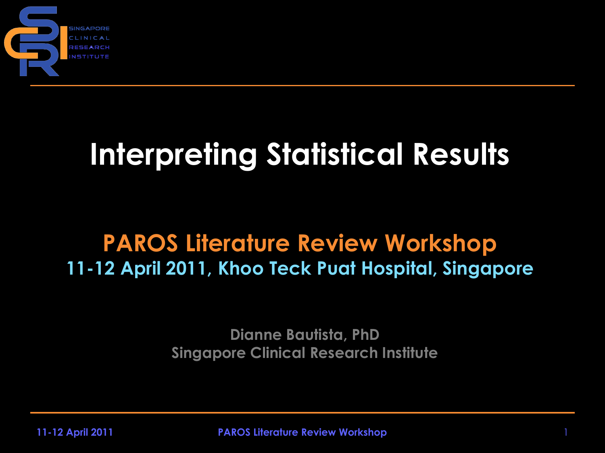

## **Interpreting Statistical Results**

#### **PAROS Literature Review Workshop 11-12 April 2011, Khoo Teck Puat Hospital, Singapore**

**Dianne Bautista, PhD Singapore Clinical Research Institute**

**11-12 April 2011 PAROS Literature Review Workshop** 1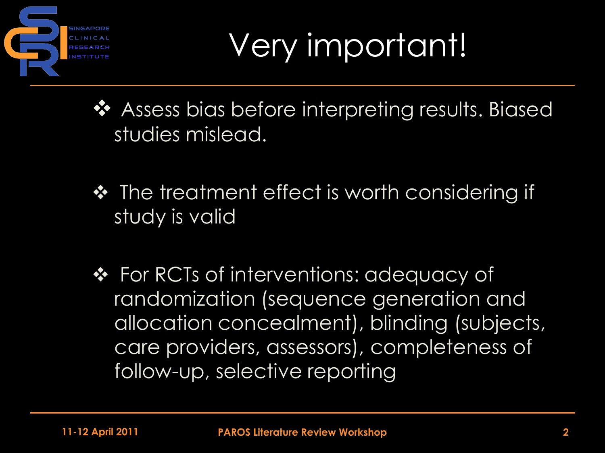

Very important!

- ❖ Assess bias before interpreting results. Biased studies mislead.
- ❖ The treatment effect is worth considering if study is valid
- ❖ For RCTs of interventions: adequacy of randomization (sequence generation and allocation concealment), blinding (subjects, care providers, assessors), completeness of follow-up, selective reporting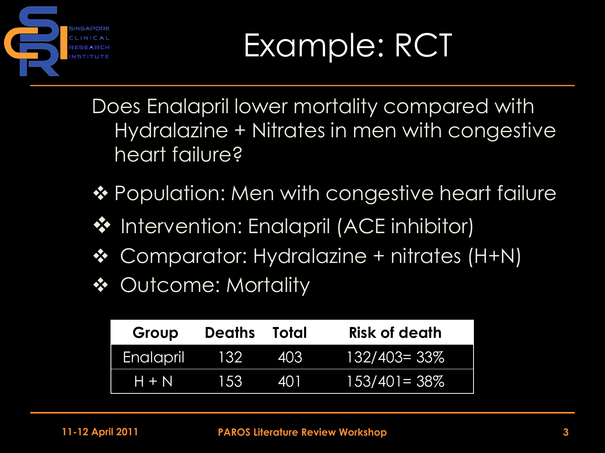

Does Enalapril lower mortality compared with Hydralazine + Nitrates in men with congestive heart failure?

- ❖ Population: Men with congestive heart failure
- ❖ Intervention: Enalapril (ACE inhibitor)
- ◆ Comparator: Hydralazine + nitrates (H+N)
- ❖ Outcome: Mortality

| Group     | <b>Deaths</b> | Total | <b>Risk of death</b> |
|-----------|---------------|-------|----------------------|
| Enalapril | <b>B</b>      | 403   | $132/403 = 33\%$     |
| $H + N$   | 153           | 401   | $153/40 = 38\%$      |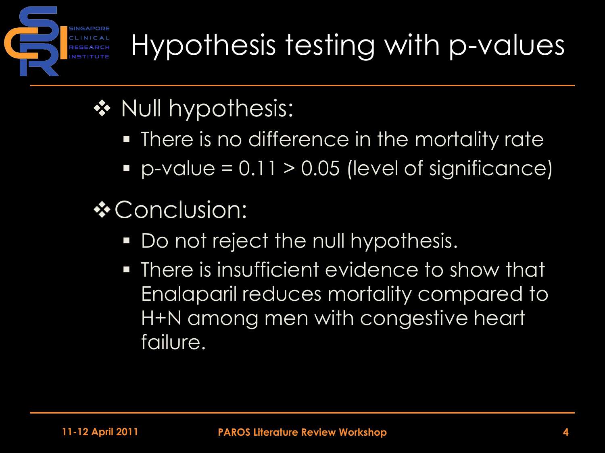Hypothesis testing with p-values

- ❖ Null hypothesis:
	- **There is no difference in the mortality rate**
	- $p$ -value = 0.11 > 0.05 (level of significance)
- **☆ Conclusion:** 
	- Do not reject the null hypothesis.
	- There is insufficient evidence to show that Enalaparil reduces mortality compared to H+N among men with congestive heart failure.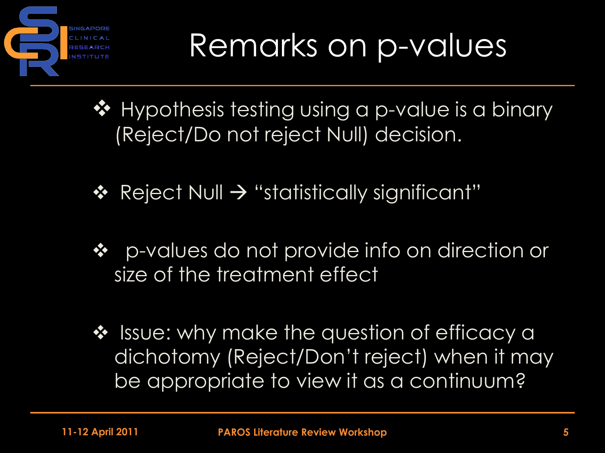

## Remarks on p-values

❖ Hypothesis testing using a p-value is a binary (Reject/Do not reject Null) decision.

- $\div$  Reject Null  $\rightarrow$  "statistically significant"
- p-values do not provide info on direction or size of the treatment effect
- ❖ Issue: why make the question of efficacy a dichotomy (Reject/Don't reject) when it may be appropriate to view it as a continuum?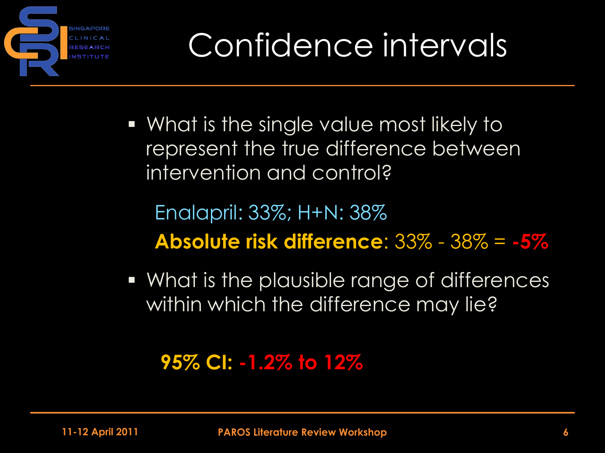

 What is the single value most likely to represent the true difference between intervention and control?

Enalapril: 33%; H+N: 38% **Absolute risk difference**: 33% - 38% = **-5%**

 What is the plausible range of differences within which the difference may lie?

#### **95% CI: -1.2% to 12%**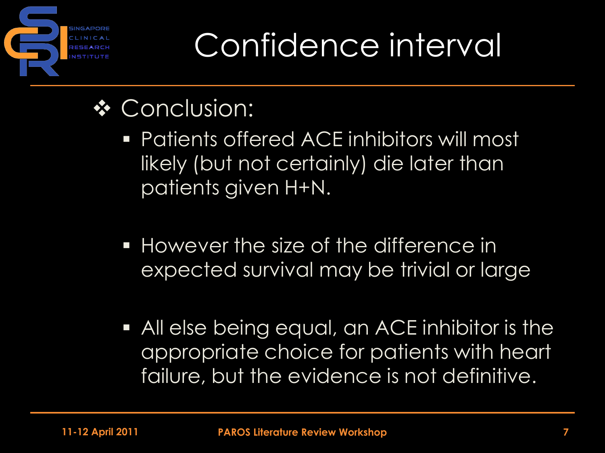

## Confidence interval

- **❖ Conclusion:** 
	- **Patients offered ACE inhibitors will most** likely (but not certainly) die later than patients given H+N.
	- **However the size of the difference in** expected survival may be trivial or large
	- All else being equal, an ACE inhibitor is the appropriate choice for patients with heart failure, but the evidence is not definitive.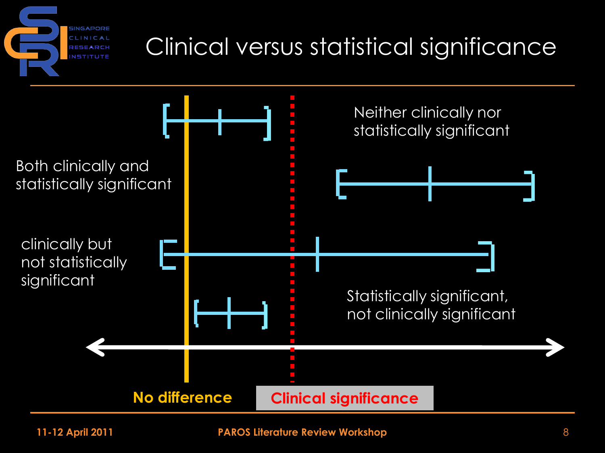### Clinical versus statistical significance



SINGAPORE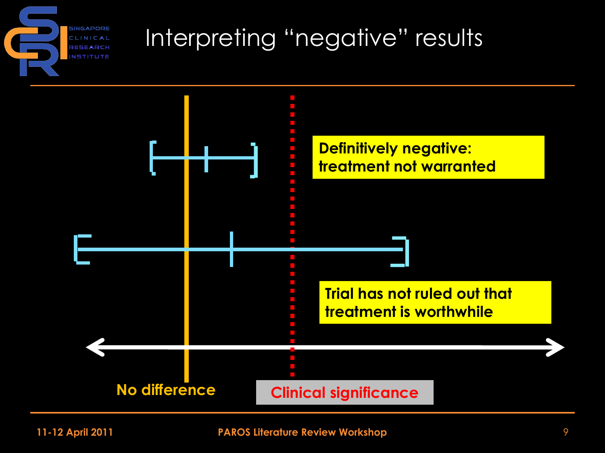

### Interpreting "negative" results

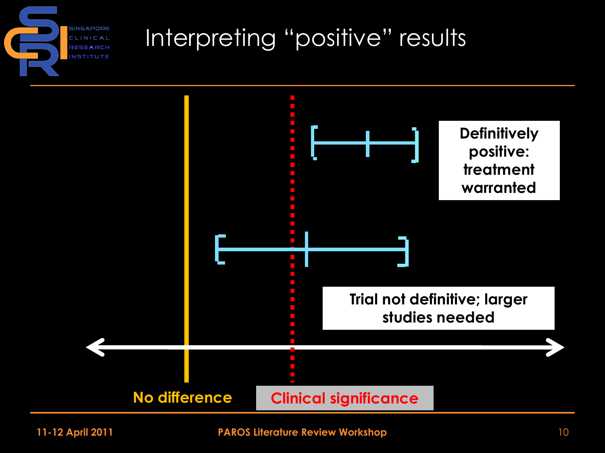#### **SINGAPORE** RESEARCH **NSTITUTE**

#### Interpreting "positive" results

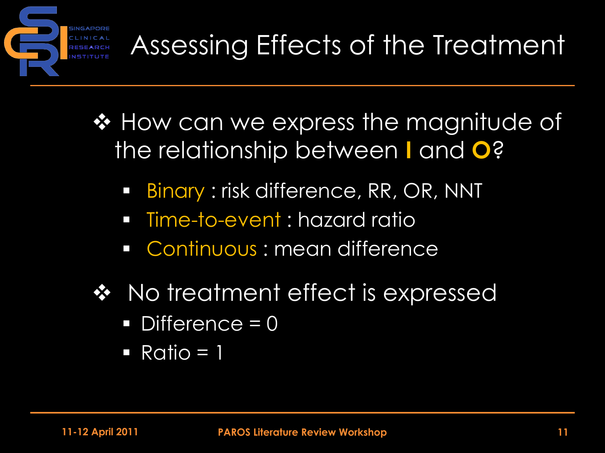

- ❖ How can we express the magnitude of the relationship between **I** and **O**?
	- Binary : risk difference, RR, OR, NNT
	- **Fime-to-event : hazard rations**
	- **Continuous : mean difference**
- ❖ No treatment effect is expressed
	- Difference = 0
	- $\blacksquare$  Ratio = 1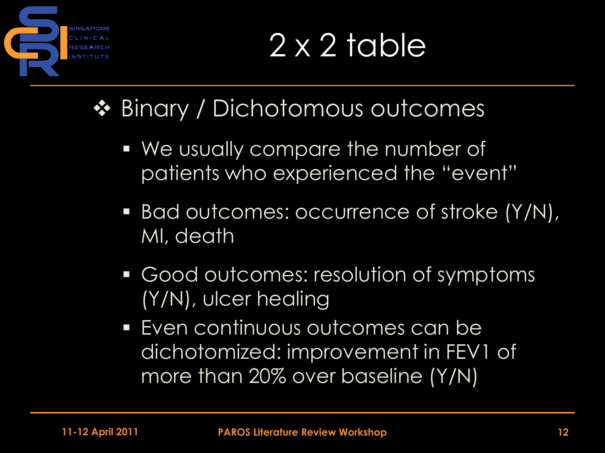

# 2 x 2 table

### ❖ Binary / Dichotomous outcomes

- We usually compare the number of patients who experienced the "event"
- Bad outcomes: occurrence of stroke (Y/N), MI, death
- Good outcomes: resolution of symptoms (Y/N), ulcer healing
- Even continuous outcomes can be dichotomized: improvement in FEV1 of more than 20% over baseline (Y/N)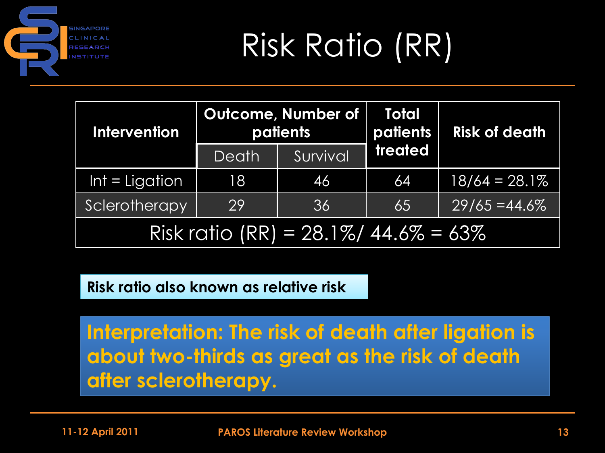

# Risk Ratio (RR)

| <b>Intervention</b>                  |       | Outcome, Number of<br>patients | <b>Total</b><br>patients | <b>Risk of death</b> |  |  |  |
|--------------------------------------|-------|--------------------------------|--------------------------|----------------------|--|--|--|
|                                      | Death | Survival                       | treated                  |                      |  |  |  |
| $Int = Ligation$                     | 18    | 46                             | 64                       | $18/64 = 28.1\%$     |  |  |  |
| Sclerotherapy                        | 29    | 36                             | 65                       | $29/65 = 44.6\%$     |  |  |  |
| Risk ratio (RR) = 28.1%/ 44.6% = 63% |       |                                |                          |                      |  |  |  |

**Risk ratio also known as relative risk**

**Interpretation: The risk of death after ligation is about two-thirds as great as the risk of death after sclerotherapy.**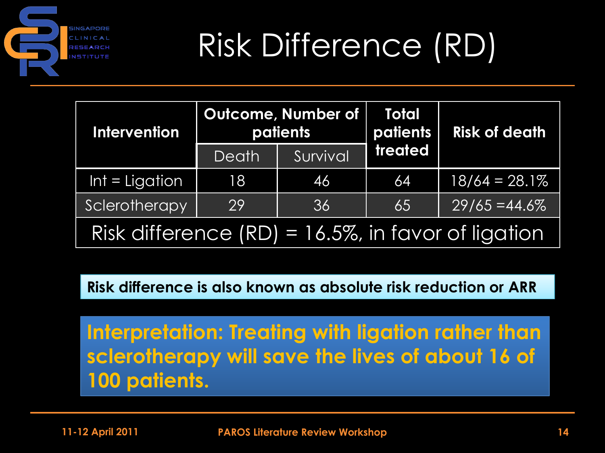

# Risk Difference (RD)

| <b>Intervention</b>                                    |       | <b>Outcome, Number of</b><br>patients | <b>Total</b><br>patients | <b>Risk of death</b> |  |  |  |
|--------------------------------------------------------|-------|---------------------------------------|--------------------------|----------------------|--|--|--|
|                                                        | Death | Survival                              | treated                  |                      |  |  |  |
| $Int = Ligation$                                       | 18    | 46                                    | 64                       | $18/64 = 28.1\%$     |  |  |  |
| Sclerotherapy                                          | 29    | 36                                    | 65                       | $29/65 = 44.6\%$     |  |  |  |
| Risk difference $(RD) = 16.5\%$ , in favor of ligation |       |                                       |                          |                      |  |  |  |

**Risk difference is also known as absolute risk reduction or ARR**

**Interpretation: Treating with ligation rather than sclerotherapy will save the lives of about 16 of 100 patients.**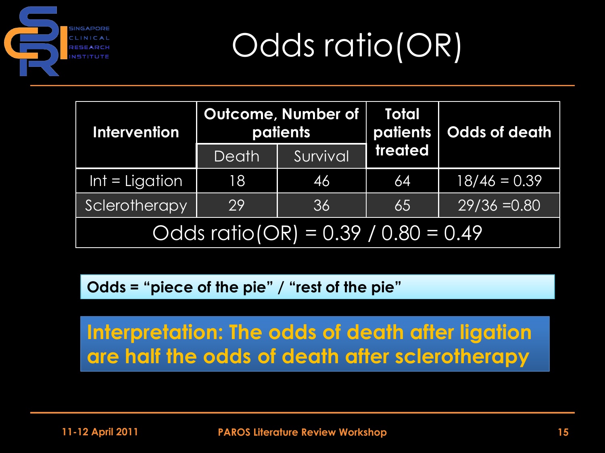

Odds ratio(OR)

| <b>Intervention</b>                   |       | <b>Outcome, Number of</b><br>patients | <b>Total</b><br>patients | Odds of death  |  |  |  |
|---------------------------------------|-------|---------------------------------------|--------------------------|----------------|--|--|--|
|                                       | Death | Survival                              | treated                  |                |  |  |  |
| $Int = Ligation$                      | 18    | 461                                   | 64                       | $18/46 = 0.39$ |  |  |  |
| Sclerotherapy                         | 29    | 36                                    | 65                       | $29/36 = 0.80$ |  |  |  |
| Odds $ratio(OR) = 0.39 / 0.80 = 0.49$ |       |                                       |                          |                |  |  |  |

**Odds = "piece of the pie" / "rest of the pie"**

**Interpretation: The odds of death after ligation are half the odds of death after sclerotherapy**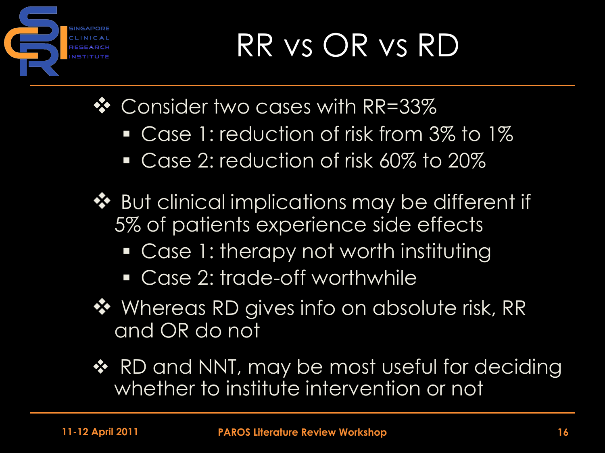

# RR vs OR vs RD

❖ Consider two cases with RR=33%

- **Case 1: reduction of risk from 3% to 1%**
- Case 2: reduction of risk 60% to 20%
- ◆ But clinical implications may be different if 5% of patients experience side effects
	- Case 1: therapy not worth instituting
	- Case 2: trade-off worthwhile
- ❖ Whereas RD gives info on absolute risk, RR and OR do not
- ❖ RD and NNT, may be most useful for deciding whether to institute intervention or not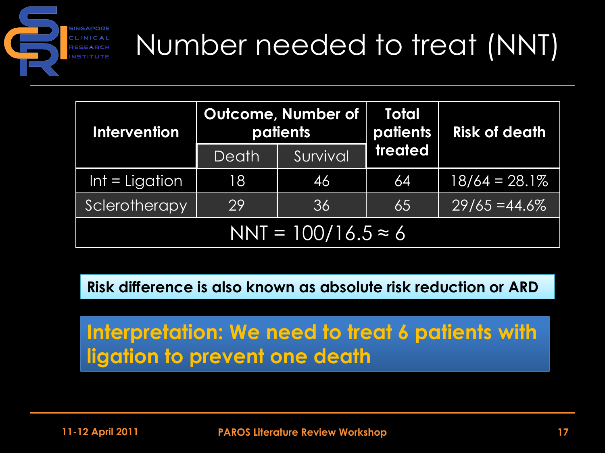

### Number needed to treat (NNT)

| <b>Intervention</b>        |       | <b>Outcome, Number of</b><br><b>patients</b> | <b>Total</b><br>patients | <b>Risk of death</b> |  |  |
|----------------------------|-------|----------------------------------------------|--------------------------|----------------------|--|--|
|                            | Death | Survival                                     | treated                  |                      |  |  |
| $Int = Ligation$           | 18    | 461                                          | 64                       | $18/64 = 28.1\%$     |  |  |
| Sclerotherapy              | 29    | 36                                           | 65                       | $29/65 = 44.6\%$     |  |  |
| $NNT = 100/16.5 \approx 6$ |       |                                              |                          |                      |  |  |

**Risk difference is also known as absolute risk reduction or ARD**

**Interpretation: We need to treat 6 patients with ligation to prevent one death**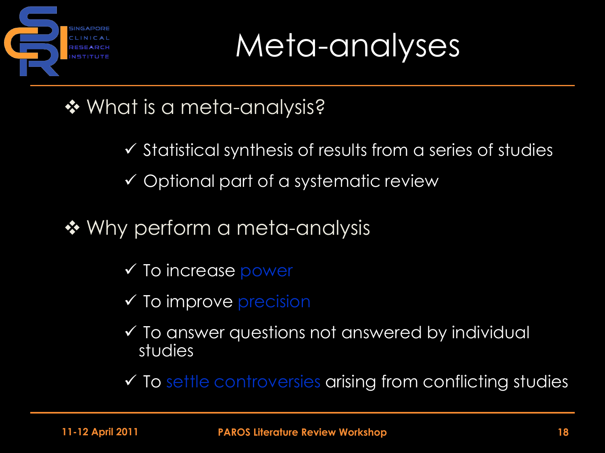

Meta-analyses

- **❖ What is a meta-analysis?** 
	- $\checkmark$  Statistical synthesis of results from a series of studies
	- $\checkmark$  Optional part of a systematic review
- ❖ Why perform a meta-analysis
	- $\checkmark$  To increase power
	- $\checkmark$  To improve precision
	- $\checkmark$  To answer questions not answered by individual studies
	- $\checkmark$  To settle controversies arising from conflicting studies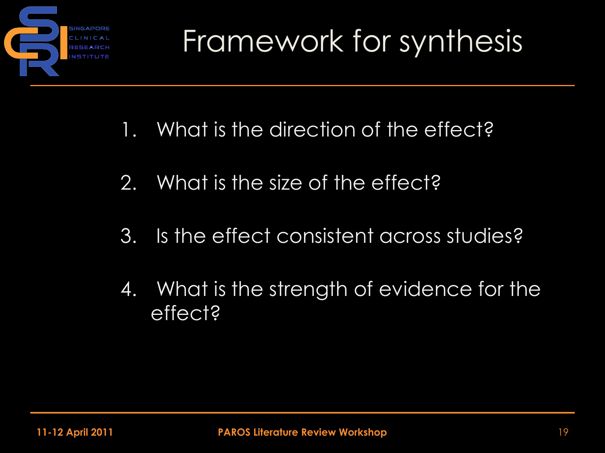

- 1. What is the direction of the effect?
- 2. What is the size of the effect?
- 3. Is the effect consistent across studies?
- 4. What is the strength of evidence for the effect?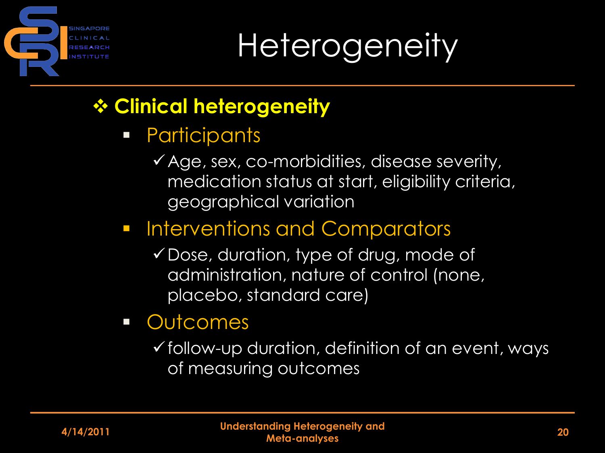

**Heterogeneity** 

#### **Clinical heterogeneity**

- **•** Participants
	- $\checkmark$  Age, sex, co-morbidities, disease severity, medication status at start, eligibility criteria, geographical variation

#### **Interventions and Comparators**

- Dose, duration, type of drug, mode of administration, nature of control (none, placebo, standard care)
- **Outcomes** 
	- $\checkmark$  follow-up duration, definition of an event, ways of measuring outcomes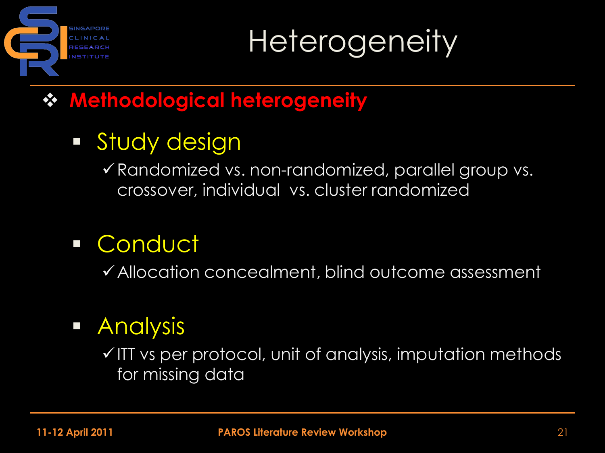

**Heterogeneity** 

#### **Methodological heterogeneity**

### **Study design**

 $\checkmark$  Randomized vs. non-randomized, parallel group vs. crossover, individual vs. cluster randomized

### Conduct

Allocation concealment, blind outcome assessment

#### **Analysis**

 $\checkmark$  ITT vs per protocol, unit of analysis, imputation methods for missing data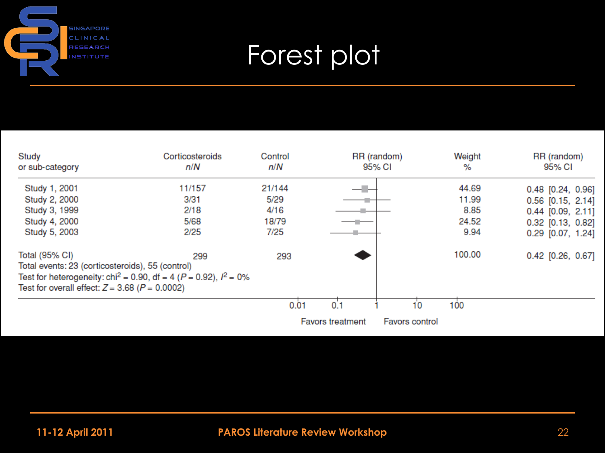

### Forest plot

| Study<br>or sub-category                                                                                                   | Corticosteroids<br>n/N                                                                   | Control<br>n/N |                         | RR (random)<br>95% CI | Weight<br>%   | RR (random)<br>95% CI                      |
|----------------------------------------------------------------------------------------------------------------------------|------------------------------------------------------------------------------------------|----------------|-------------------------|-----------------------|---------------|--------------------------------------------|
| Study 1, 2001                                                                                                              | 11/157                                                                                   | 21/144         | — III 1                 |                       | 44.69         | $0.48$ [0.24, 0.96]                        |
| Study 2, 2000<br>Study 3, 1999                                                                                             | 3/31<br>2/18                                                                             | 5/29<br>4/16   |                         |                       | 11.99<br>8.85 | $0.56$ [0.15, 2.14]<br>$0.44$ [0.09, 2.11] |
| Study 4, 2000                                                                                                              | 5/68                                                                                     | 18/79          |                         |                       | 24.52         | $0.32$ [0.13, 0.82]                        |
| Study 5, 2003                                                                                                              | 2/25                                                                                     | 7/25           |                         |                       | 9.94          | $0.29$ $[0.07, 1.24]$                      |
| Total (95% CI)<br>Total events: 23 (corticosteroids), 55 (control)<br>Test for overall effect: $Z = 3.68$ ( $P = 0.0002$ ) | 299<br>Test for heterogeneity: chi <sup>2</sup> = 0.90, df = 4 ( $P$ = 0.92), $l^2$ = 0% | 293            |                         |                       | 100.00        | $0.42$ [0.26, 0.67]                        |
|                                                                                                                            |                                                                                          | 0.01           | 0.1                     | 10                    | 100           |                                            |
|                                                                                                                            |                                                                                          |                | <b>Favors treatment</b> | <b>Favors control</b> |               |                                            |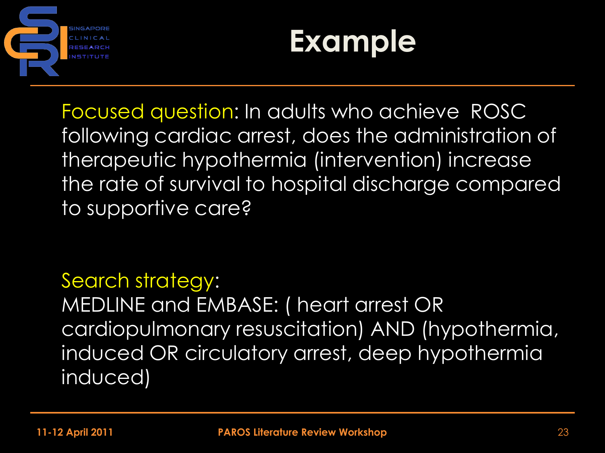



Focused question: In adults who achieve ROSC following cardiac arrest, does the administration of therapeutic hypothermia (intervention) increase the rate of survival to hospital discharge compared to supportive care?

Search strategy: MEDLINE and EMBASE: ( heart arrest OR cardiopulmonary resuscitation) AND (hypothermia, induced OR circulatory arrest, deep hypothermia induced)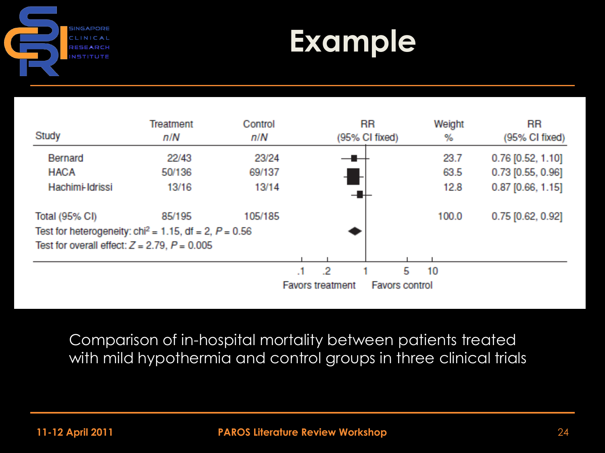

### **Example**

|                                                                     | Treatment | Control |                         |    | <b>RR</b>      |                       | Weight | <b>RR</b>           |
|---------------------------------------------------------------------|-----------|---------|-------------------------|----|----------------|-----------------------|--------|---------------------|
| Study                                                               | n/N       | n/N     |                         |    | (95% CI fixed) |                       | %      | (95% CI fixed)      |
| Bernard                                                             | 22/43     | 23/24   |                         |    |                |                       | 23.7   | $0.76$ [0.52, 1.10] |
| <b>HACA</b>                                                         | 50/136    | 69/137  |                         |    |                |                       | 63.5   | $0.73$ [0.55, 0.96] |
| Hachimi-Idrissi                                                     | 13/16     | 13/14   |                         |    |                |                       | 12.8   | $0.87$ [0.66, 1.15] |
| Total (95% CI)                                                      | 85/195    | 105/185 |                         |    |                |                       | 100.0  | 0.75 [0.62, 0.92]   |
| Test for heterogeneity: chi <sup>2</sup> = 1.15, df = 2, $P = 0.56$ |           |         |                         |    |                |                       |        |                     |
| Test for overall effect: $Z = 2.79$ , $P = 0.005$                   |           |         |                         |    |                |                       |        |                     |
|                                                                     |           |         |                         |    |                |                       |        |                     |
|                                                                     |           |         |                         | -2 |                | 5                     | 10     |                     |
|                                                                     |           |         | <b>Favors treatment</b> |    |                | <b>Favors control</b> |        |                     |

Comparison of in-hospital mortality between patients treated with mild hypothermia and control groups in three clinical trials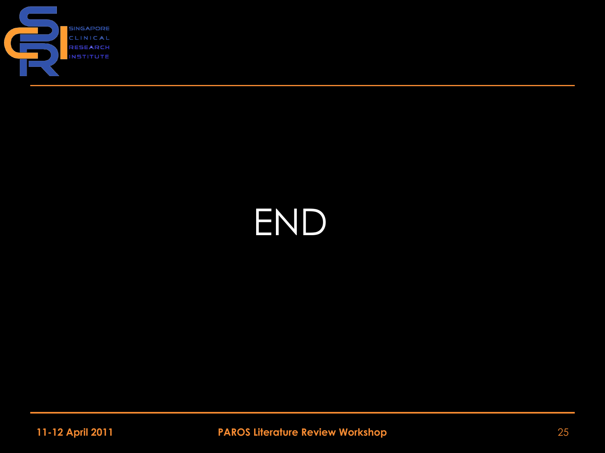

# END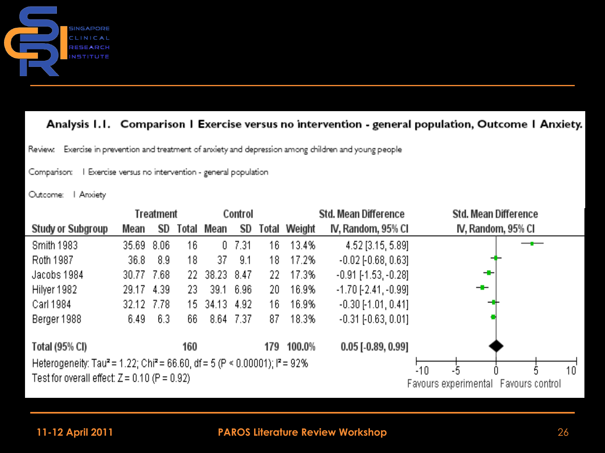

#### Analysis I.I. Comparison I Exercise versus no intervention - general population, Outcome I Anxiety.

Exercise in prevention and treatment of anxiety and depression among children and young people Review.

Comparison: | Exercise versus no intervention - general population

Outcome: | Anxiety



#### **11-12 April 2011 PAROS Literature Review Workshop** 26